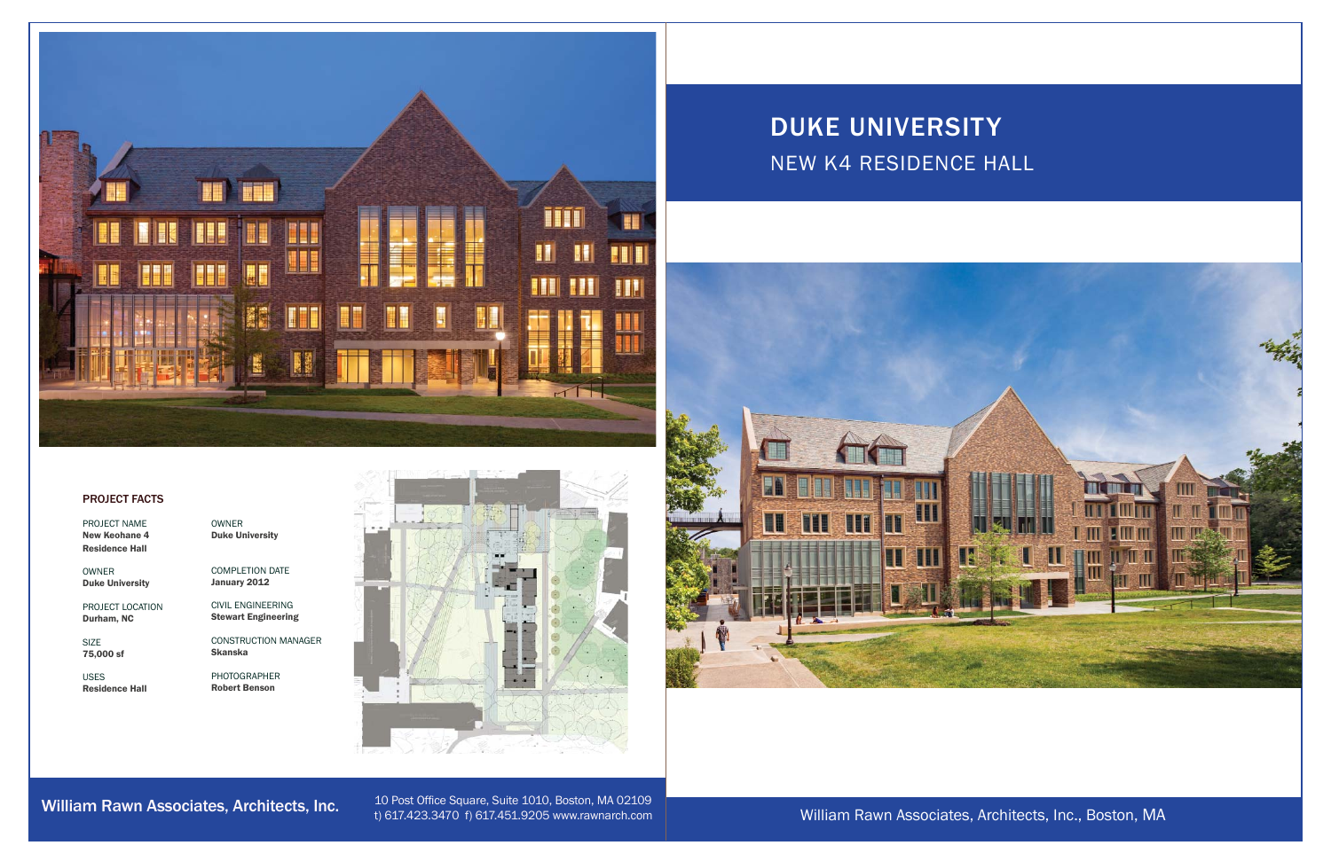William Rawn Associates, Architects, Inc., Boston, MA



## PROJECT FACTS

PROJECT NAMENew Keohane 4 Residence Hall

OWNER Duke University

PROJECT LOCATION Durham, NC

SIZE75,000 sf

USESResidence Hall

William Rawn Associates, Architects, Inc.



## DUKE UNIVERSITY NEW K4 RESIDENCE HALL



10 Post Office Square, Suite 1010, Boston, MA 02109 t) 617.423.3470 f) 617.451.9205 www.rawnarch.com

OWNER Duke University

COMPLETION DATE January 2012

CIVIL ENGINEERINGStewart Engineering

CONSTRUCTION MANAGERSkanska

PHOTOGRAPHER Robert Benson